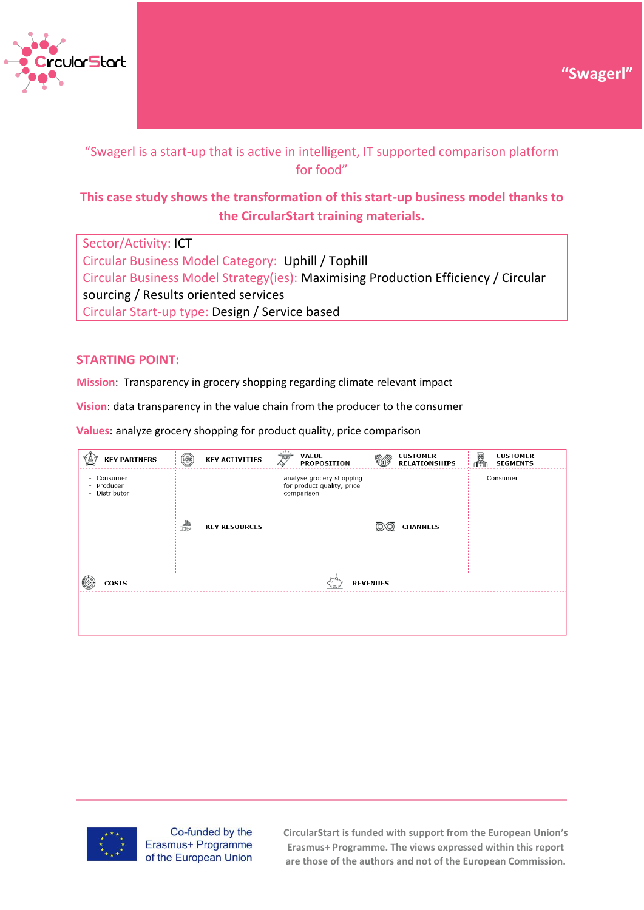



# "Swagerl is a start-up that is active in intelligent, IT supported comparison platform for food"

# **This case study shows the transformation of this start-up business model thanks to the CircularStart training materials.**

Sector/Activity: ICT Circular Business Model Category: Uphill / Tophill Circular Business Model Strategy(ies): Maximising Production Efficiency / Circular sourcing / Results oriented services Circular Start-up type: Design / Service based

## **STARTING POINT:**

**Mission**: Transparency in grocery shopping regarding climate relevant impact

**Vision**: data transparency in the value chain from the producer to the consumer

**Values**: analyze grocery shopping for product quality, price comparison

| <b>KEY ACTIVITIES</b> | <b>VALUE</b><br><b>PROPOSITION</b> | <b>CUSTOMER</b><br><b>RELATIONSHIPS</b>                                                   | 图<br><b>CUSTOMER</b><br><b>SEGMENTS</b><br>1Ťħ |
|-----------------------|------------------------------------|-------------------------------------------------------------------------------------------|------------------------------------------------|
|                       |                                    |                                                                                           | - Consumer                                     |
| <b>KEY RESOURCES</b>  |                                    | <b>CHANNELS</b>                                                                           |                                                |
|                       |                                    |                                                                                           |                                                |
|                       |                                    |                                                                                           |                                                |
|                       | ıΞ,                                |                                                                                           |                                                |
|                       |                                    |                                                                                           |                                                |
|                       |                                    |                                                                                           |                                                |
|                       |                                    | $\mathbf{A}$<br>Ţ<br>analyse grocery shopping<br>for product quality, price<br>comparison | <b>REVENUES</b>                                |



Co-funded by the Erasmus+ Programme of the European Union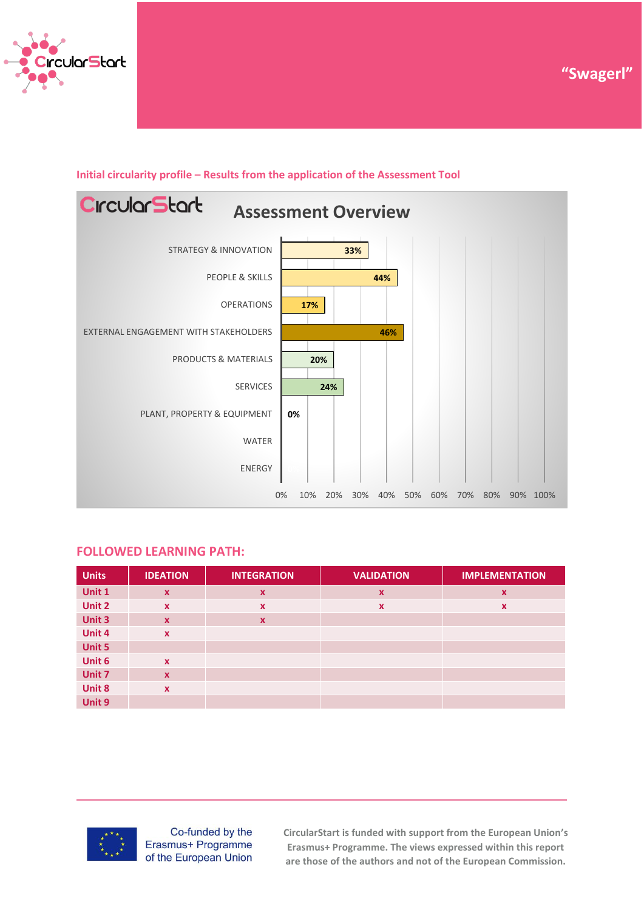

# **CircularStart Assessment Overview**STRATEGY & INNOVATION **33%** PEOPLE & SKILLS **44%** OPERATIONS **17%** EXTERNAL ENGAGEMENT WITH STAKEHOLDERS **46%** PRODUCTS & MATERIALS **20%** SERVICES **24%** PLANT, PROPERTY & EQUIPMENT **0%** WATER ENERGY

## **Initial circularity profile – Results from the application of the Assessment Tool**

#### **FOLLOWED LEARNING PATH:**

| <b>Units</b> | <b>IDEATION</b> | <b>INTEGRATION</b> | <b>VALIDATION</b>         | <b>IMPLEMENTATION</b>     |
|--------------|-----------------|--------------------|---------------------------|---------------------------|
| Unit 1       | $\mathbf{x}$    | $\boldsymbol{x}$   | $\boldsymbol{\mathsf{x}}$ | $\boldsymbol{\mathsf{x}}$ |
| Unit 2       | $\mathbf{x}$    | X                  | $\boldsymbol{\mathsf{x}}$ | $\boldsymbol{\mathsf{x}}$ |
| Unit 3       | $\mathbf{x}$    | $\mathbf x$        |                           |                           |
| Unit 4       | $\mathbf{x}$    |                    |                           |                           |
| Unit 5       |                 |                    |                           |                           |
| Unit 6       | $\mathbf{x}$    |                    |                           |                           |
| Unit 7       | $\mathbf{x}$    |                    |                           |                           |
| Unit 8       | $\mathbf{x}$    |                    |                           |                           |
| Unit 9       |                 |                    |                           |                           |



Co-funded by the Erasmus+ Programme of the European Union

**CircularStart is funded with support from the European Union's Erasmus+ Programme. The views expressed within this report are those of the authors and not of the European Commission.**

0% 10% 20% 30% 40% 50% 60% 70% 80% 90% 100%

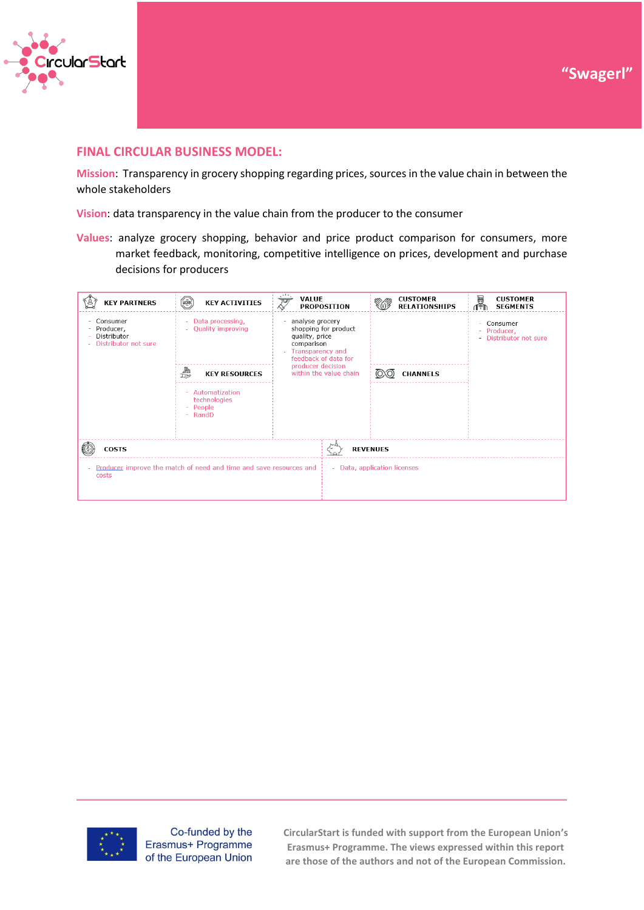



### **FINAL CIRCULAR BUSINESS MODEL:**

**Mission**: Transparency in grocery shopping regarding prices, sources in the value chain in between the whole stakeholders

**Vision**: data transparency in the value chain from the producer to the consumer

**Values**: analyze grocery shopping, behavior and price product comparison for consumers, more market feedback, monitoring, competitive intelligence on prices, development and purchase decisions for producers

| <b>KEY PARTNERS</b>                                                                      | $\circled{(\overline{R})}$<br><b>KEY ACTIVITIES</b>                | VALUE<br>$\overline{\mathcal{Z}}$                                                                                                                                                   | <b>PROPOSITION</b>           |                 | <b>CUSTOMER</b><br><b>RELATIONSHIPS</b> | Ø<br>ſŤħ | <b>CUSTOMER</b><br><b>SEGMENTS</b>                |
|------------------------------------------------------------------------------------------|--------------------------------------------------------------------|-------------------------------------------------------------------------------------------------------------------------------------------------------------------------------------|------------------------------|-----------------|-----------------------------------------|----------|---------------------------------------------------|
| Consumer<br>$\overline{\phantom{a}}$<br>Producer,<br>Distributor<br>Distributor not sure | - Data processing,<br>- Quality improving                          | analyse grocery<br>$\sim$<br>shopping for product<br>quality, price<br>comparison<br><b>Transparency and</b><br>feedback of data for<br>producer decision<br>within the value chain |                              |                 |                                         |          | Consumer<br>- Producer,<br>- Distributor not sure |
|                                                                                          | ₩<br><b>KEY RESOURCES</b>                                          |                                                                                                                                                                                     |                              | <b>CHANNELS</b> |                                         |          |                                                   |
|                                                                                          | Automatization<br>technologies<br>People<br>- RandD                |                                                                                                                                                                                     |                              |                 |                                         |          |                                                   |
| <b>COSTS</b>                                                                             |                                                                    |                                                                                                                                                                                     | <b>REVENUES</b>              |                 |                                         |          |                                                   |
| $\overline{\phantom{a}}$<br>costs                                                        | Producer improve the match of need and time and save resources and |                                                                                                                                                                                     | - Data, application licenses |                 |                                         |          |                                                   |



Co-funded by the Erasmus+ Programme of the European Union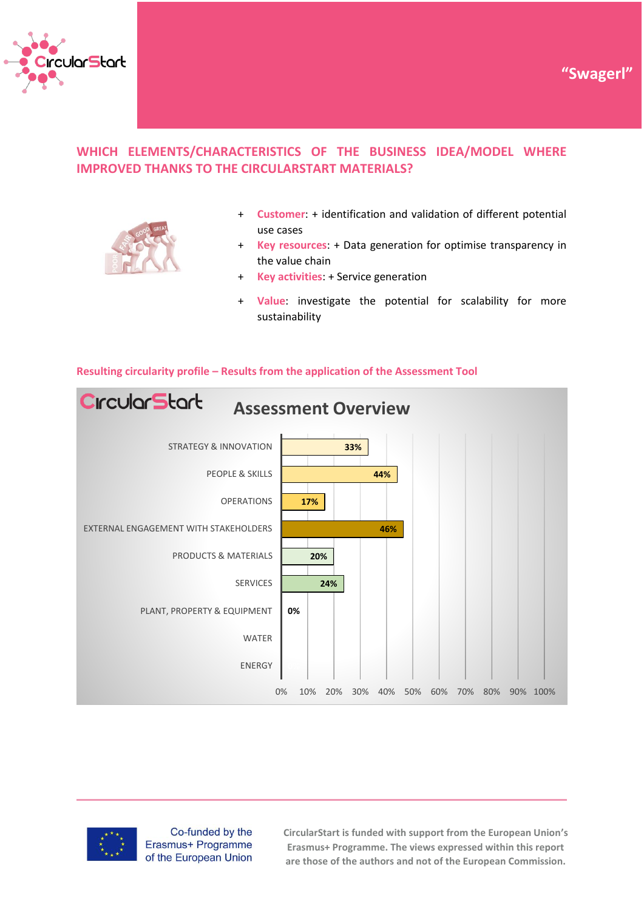





**Customer:** + identification and validation of different potential use cases

**"Swagerl"**

- + **Key resources**: + Data generation for optimise transparency in the value chain
- + **Key activities**: + Service generation
- + **Value**: investigate the potential for scalability for more sustainability



#### **Resulting circularity profile – Results from the application of the Assessment Tool**



Co-funded by the Erasmus+ Programme of the European Union